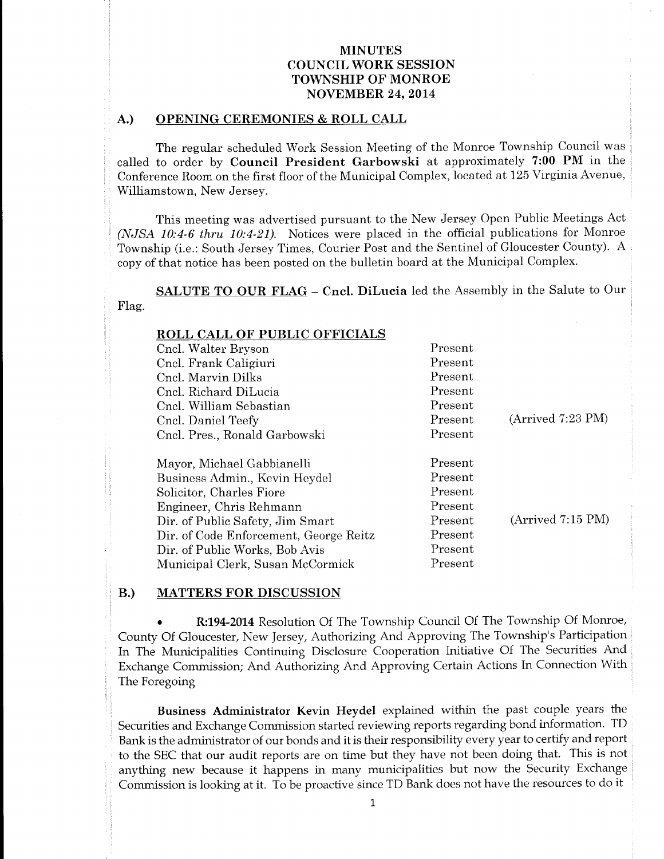### A.) OPENING CEREMONIES & ROLL CALL

The regular scheduled Work Session Meeting of the Monroe Township Council was called to order by Council President Garbowski at approximately 7:00 PM in the Conference Room on the first floor of the Municipal Complex, located at 125 Virginia Avenue, Williamstown, New Jersey.

This meeting was advertised pursuant to the New Jersey Open Public Meetings Act (NJSA 10:4-6 thru 10:4-21). Notices were placed in the official publications for Monroe Township (i.e.: South Jersey Times, Courier Post and the Sentinel of Gloucester County). A copy of that notice has been posted on the bulletin board at the Municipal Complex.

SALUTE TO OUR FLAG - Cncl. DiLucia led the Assembly in the Salute to Our Flag.

| <b>ROLL CALL OF PUBLIC OFFICIALS</b>   |         |                   |
|----------------------------------------|---------|-------------------|
| Cncl. Walter Bryson                    | Present |                   |
| Cncl. Frank Caligiuri                  | Present |                   |
| Cncl. Marvin Dilks                     | Present |                   |
| Cncl. Richard DiLucia                  | Present |                   |
| Cncl. William Sebastian                | Present |                   |
| Cncl. Daniel Teefy                     | Present | (Arrived 7:23 PM) |
| Cncl. Pres., Ronald Garbowski          | Present |                   |
| Mayor, Michael Gabbianelli             | Present |                   |
| Business Admin., Kevin Heydel          | Present |                   |
| Solicitor, Charles Fiore               | Present |                   |
| Engineer, Chris Rehmann                | Present |                   |
| Dir. of Public Safety, Jim Smart       | Present | (Arrived 7:15 PM) |
| Dir. of Code Enforcement, George Reitz | Present |                   |
| Dir. of Public Works, Bob Avis         | Present |                   |
| Municipal Clerk, Susan McCormick       | Present |                   |

#### B.) MATTERS FOR DISCUSSION

R:194-2014 Resolution Of The Township Council Of The Township Of Monroe, County Of Gloucester, New Jersey, Authorizing And Approving The Township's Participation In The Municipalities Continuing Disclosure Cooperation Initiative Of The Securities And Exchange Commission; And Authorizing And Approving Certain Actions In Connection With The Foregoing

Business Administrator Kevin Heydel explained within the past couple years the Securities and Exchange Commission started reviewing reports regarding bond information. TD Bank is the administrator of our bonds and it is their responsibility every year to certify and report to the SEC that our audit reports are on time but they have not been doing that. This is not anything new because it happens in many municipalities but now the Security Exchange Commission is looking at it. To be proactive since TD Bank does not have the resources to do it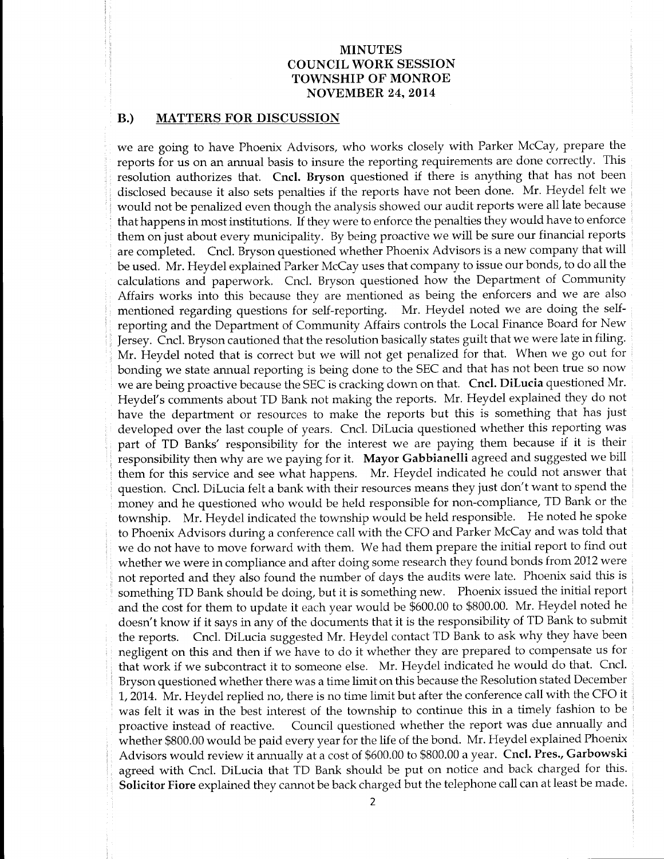#### B.) MATTERS FOR DISCUSSION

we are going to have Phoenix Advisors, who works closely with Parker McCay, prepare the reports for us on an annual basis to insure the reporting requirements are done correctly. This resolution authorizes that. Cncl. Bryson questioned if there is anything that has not been disclosed because it also sets penalties if the reports have not been done. Mr. Heydel felt we would not be penalized even though the analysis showed our audit reports were all late because that happens in most institutions. If they were to enforce the penalties they would have to enforce them on just about every municipality. By being proactive we will be sure our financial reports are completed. Cncl. Bryson questioned whether Phoenix Advisors is <sup>a</sup> new company that will be used. Mr. Heydel explained Parker McCay uses that company to issue our bonds, to do all the calculations and paperwork. Cncl. Bryson questioned how the Department of Community Affairs works into this because they are mentioned as being the enforcers and we are also mentioned regarding questions for self-reporting. Mr. Heydel noted we are doing the selfreporting and the Department of Community Affairs controls the Local Finance Board for New Jersey. Cncl. Bryson cautioned that the resolution basically states guilt that we were late in filing. Mr. Heydel noted that is correct but we will not get penalized for that. When we go out for bonding we state annual reporting is being done to the SEC and that has not been true so now we are being proactive because the SEC is cracking down on that. Cncl. DiLucia questioned Mr. Heydel's comments about TD Bank not making the reports. Mr. Heydel explained they do not have the department or resources to make the reports but this is something that has just developed over the last couple of years. Cncl. DiLucia questioned whether this reporting was part of TD Banks' responsibility for the interest we are paying them because if it is their responsibility then why are we paying for it. Mayor Gabbianelli agreed and suggested we bill them for this service and see what happens. Mr. Heydel indicated he could not answer that question. Cncl. DiLucia felt <sup>a</sup> bank with their resources means they just don't want to spend the money and he questioned who would be held responsible for non-compliance, TD Bank or the township. Mr. Heydel indicated the township would be held responsible. He noted he spoke to Phoenix Advisors during <sup>a</sup> conference call with the CFO and Parker McCay and was told that we do not have to move forward with them. We had them prepare the initial report to find out whether we were in compliance and after doing some research they found bonds from 2012 were not reported and they also found the number of days the audits were late. Phoenix said this is something TD Bank should be doing, but it is something new. Phoenix issued the initial report and the cost for them to update it each year would be \$600.00 to \$800.00. Mr. Heydel noted he doesn't know if it says in any of the documents that it is the responsibility of TD Bank to submit the reports. Cncl. DiLucia suggested Mr. Heydel contact TD Bank to ask why they have been negligent on this and then if we have to do it whether they are prepared to compensate us for that work if we subcontract it to someone else. Mr. Heydel indicated he would do that. Cncl. Bryson questioned whether there was <sup>a</sup> time limit on this because the Resolution stated December 1, 2014. Mr. Heydel replied no, there is no time limit but after the conference call with the CFO it was felt it was in the best interest of the township to continue this in <sup>a</sup> timely fashion to be proactive instead of reactive. Council questioned whether the report was due annually and whether \$800.00 would be paid every year for the life of the bond. Mr. Heydel explained Phoenix Advisors would review it annually at a cost of \$600.00 to \$800.00 a year. Cncl. Pres., Garbowski agreed with Cncl. DiLucia that TD Bank should be put on notice and back charged for this. Solicitor Fiore explained they cannot be back charged but the telephone call can at least be made.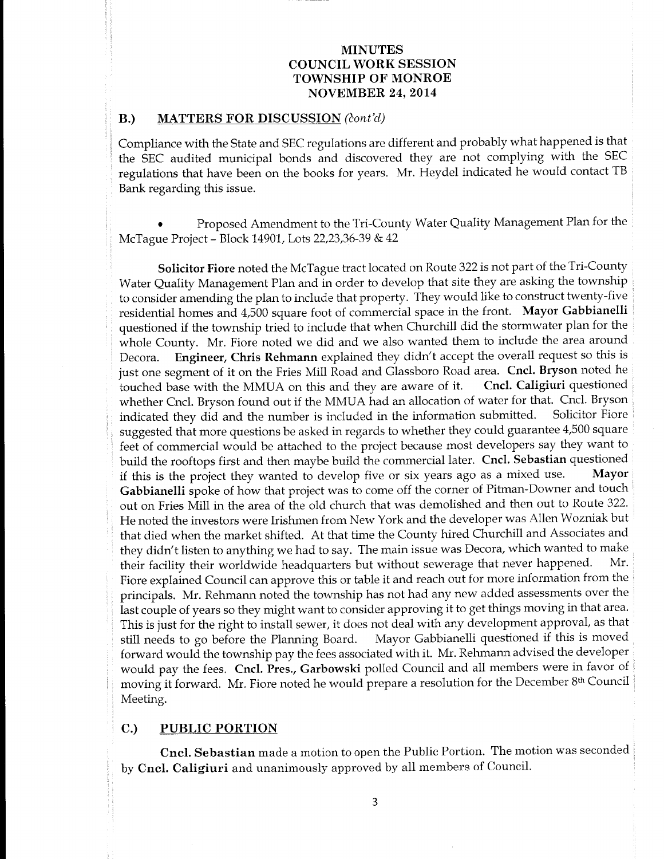#### B.) MATTERS FOR DISCUSSION (cont'd)

Compliance with the State and SEC regulations are different and probably what happened is that the SEC audited municipal bonds and discovered they are not complying with the SEC regulations that have been on the books for years. Mr. Heydel indicated he would contact TB Bank regarding this issue.

Proposed Amendment to the Tri-County Water Quality Management Plan for the McTague Project- Block 14901, Lots 22,23,36-39& 42

Solicitor Fiore noted the McTague tract located on Route 322 is not part of the Tri-County Water Quality Management Plan and in order to develop that site they are asking the township to consider amending the plan to include that property. They would like to construct twenty-five residential homes and 4,500 square foot of commercial space in the front. Mayor Gabbianelli questioned if the township tried to include that when Churchill did the stormwater plan for the whole County. Mr. Fiore noted we did and we also wanted them to include the area around<br>Decora. Engineer, Chris Rehmann explained they didn't accept the overall request so this is Engineer, Chris Rehmann explained they didn't accept the overall request so this is just one segment of it on the Fries Mill Road and Glassboro Road area. Cncl. Bryson noted he touched base with the MMUA on this and they are aware of it. Cncl. Caligiuri questioned whether Cncl. Bryson found out if the MMUA had an allocation of water for that. Cncl. Bryson indicated they did and the number is included in the information submitted. Solicitor Fiore suggested that more questions be asked in regards to whether they could guarantee 4,500 square feet of commercial would be attached to the project because most developers say they want to build the rooftops first and then maybe build the commercial later. Cncl. Sebastian questioned if this is the project they wanted to develop five or six years ago as a mixed use. Mayor Gabbianelli spoke of how that project was to come off the corner of Pitman-Downer and touch out on Fries Mill in the area of the old church that was demolished and then out to Route 322. He noted the investors were Irishmen from New York and the developer was Allen Wozniak but that died when the market shifted. At that time the County hired Churchill and Associates and they didn't listen to anything we had to say. The main issue was Decora, which wanted to make<br>their facility their worldwide headquarters but without sewerage that never happened. Mr. their facility their worldwide headquarters but without sewerage that never happened. Fiore explained Council can approve this or table it and reach out for more information from the principals. Mr. Rehmann noted the township has not had any new added assessments over the last couple of years so they might want to consider approving it to get things moving in that area. This is just for the right to install sewer, it does not deal with any development approval, as that still needs to go before the Planning Board. Mayor Gabbianelli questioned if this is moved forward would the township pay the fees associated with it. Mr. Rehmann advised the developer would pay the fees. Cncl. Pres., Garbowski polled Council and all members were in favor of moving it forward. Mr. Fiore noted he would prepare a resolution for the December 8th Council Meeting.

### C.) PUBLIC PORTION

Cncl. Sebastian made a motion to open the Public Portion. The motion was seconded by Cncl. Caligiuri and unanimously approved by all members of Council.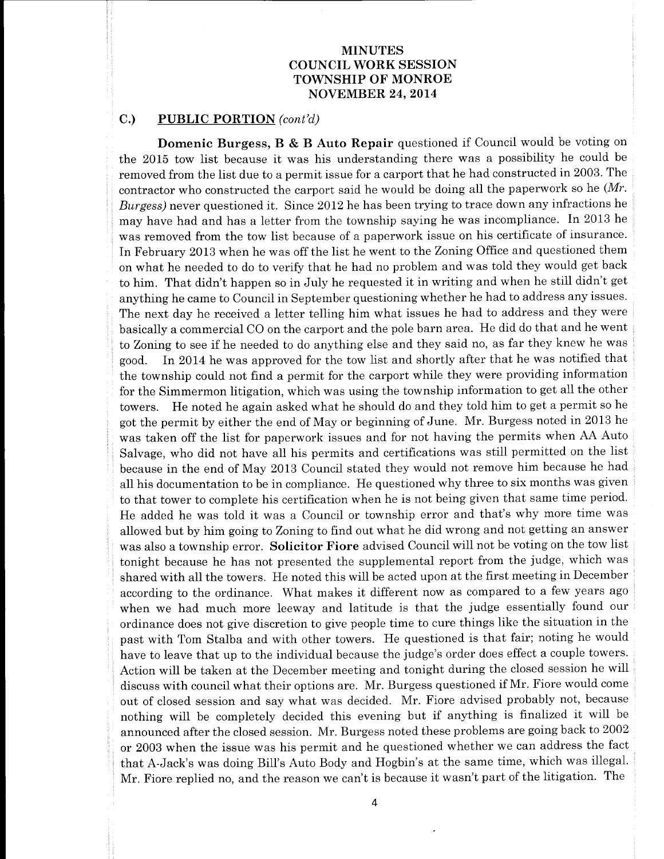### C.) PUBLIC PORTION (cont'd)

Domenic Burgess, B & B Auto Repair questioned if Council would be voting on the 2015 tow list because it was his understanding there was <sup>a</sup> possibility he could be removed from the list due to a permit issue for <sup>a</sup> carport that he had constructed in 2003. The contractor who constructed the carport said he would be doing all the paperwork so he  $(Mr)$ . Burgess) never questioned it. Since 2012 he has been trying to trace down any infractions he may have had and has <sup>a</sup> letter from the township saying he was incompliance. In <sup>2013</sup> he was removed from the tow list because of <sup>a</sup> paperwork issue on his certificate of insurance. In February 2013 when he was off the list he went to the Zoning Office and questioned them on what he needed to do to verify that he had no problem and was told they would get back to him. That didn't happen so in July he requested it in writing and when he still didn't get anything he came to Council in September questioning whether he had to address any issues. The next day he received a letter telling him what issues he had to address and they were basically a commercial CO on the carport and the pole barn area. He did do that and he went to Zoning to see if he needed to do anything else and they said no, as far they knew he was good. In 2014 he was approved for the tow list and shortly after that he was notified that the township could not find a permit for the carport while they were providing information for the Simmermon litigation, which was using the township information to get all the other towers. He noted he again asked what he should do and they told him to get a permit so he got the permit by either the end of May or beginning of June. Mr. Burgess noted in 2013 he was taken off the list for paperwork issues and for not having the permits when AA Auto Salvage, who did not have all his permits and certifications was still permitted on the list because in the end of May 2013 Council stated they would not remove him because he had all his documentation to be in compliance. He questioned why three to six months was given to that tower to complete his certification when he is not being given that same time period. He added he was told it was <sup>a</sup> Council or township error and that's why more time was allowed but by him going to Zoning to find out what he did wrong and not getting an answer was also a township error. Solicitor Fiore advised Council will not be voting on the tow list tonight because he has not presented the supplemental report from the judge, which was shared with all the towers. He noted this will be acted upon at the first meeting in December according to the ordinance. What makes it different now as compared to <sup>a</sup> few years ago when we had much more leeway and latitude is that the judge essentially found our ordinance does not give discretion to give people time to cure things like the situation in the past with Tom Stalba and with other towers. He questioned is that fair; noting he would have to leave that up to the individual because the judge's order does effect a couple towers. Action will be taken at the December meeting and tonight during the closed session he will discuss with council what their options are. Mr. Burgess questioned if Mr. Fiore would come out of closed session and say what was decided. Mr. Fiore advised probably not, because nothing will be completely decided this evening but if anything is finalized it will be announced after the closed session. Mr. Burgess noted these problems are going back to 2002 or 2003 when the issue was his permit and he questioned whether we can address the fact that A-Jack's was doing Bill's Auto Body and Hogbin's at the same time, which was illegal. Mr. Fiore replied no, and the reason we can't is because it wasn't part of the litigation. The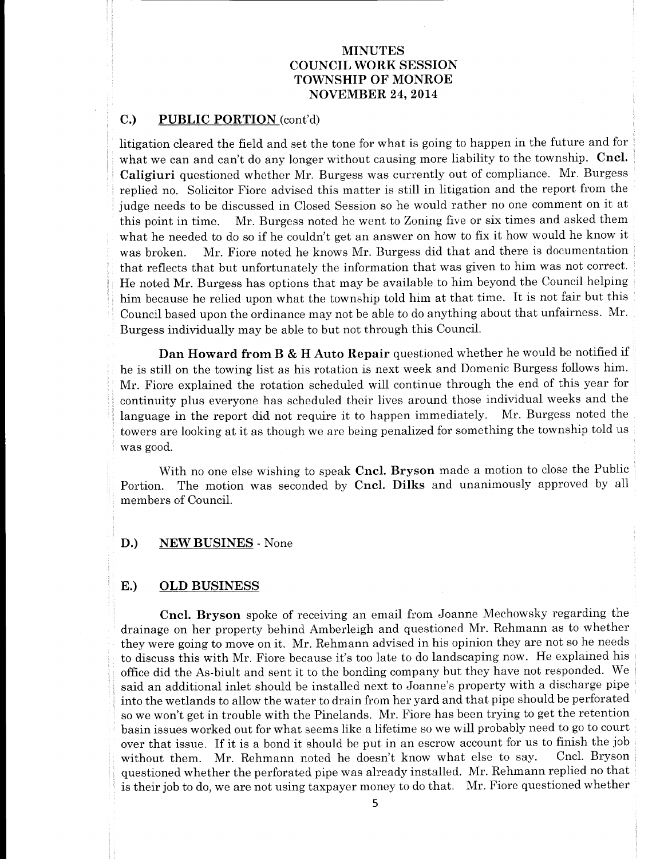## C.) PUBLIC PORTION (cont'd)

litigation cleared the field and set the tone for what is going to happen in the future and for what we can and can't do any longer without causing more liability to the township. Cncl. Caligiuri questioned whether Mr. Burgess was currently out of compliance. Mr. Burgess replied no. Solicitor Fiore advised this matter is still in litigation and the report from the judge needs to be discussed in Closed Session so he would rather no one comment on it at this point in time. Mr. Burgess noted he went to Zoning five or six times and asked them what he needed to do so if he couldn't get an answer on how to fix it how would he know it was broken. Mr. Fiore noted he knows Mr. Burgess did that and there is documentation that reflects that but unfortunately the information that was given to him was not correct. He noted Mr. Burgess has options that may be available to him beyond the Council helping him because he relied upon what the township told him at that time. It is not fair but this Council based upon the ordinance may not be able to do anything about that unfairness. Mr. Burgess individually may be able to but not through this Council.

Dan Howard from B & H Auto Repair questioned whether he would be notified if he is still on the towing list as his rotation is next week and Domenic Burgess follows him. Mr. Fiore explained the rotation scheduled will continue through the end of this year for continuity plus everyone has scheduled their lives around those individual weeks and the language in the report did not require it to happen immediately. Mr. Burgess noted the towers are looking at it as though we are being penalized for something the township told us was good.

With no one else wishing to speak Cncl. Bryson made a motion to close the Public Portion. The motion was seconded by Cncl. Dilks and unanimously approved by all members of Council.

#### D.) NEW BUSINES - None

#### E.) OLD BUSINESS

Cncl. Bryson spoke of receiving an email from Joanne Mechowsky regarding the drainage on her property behind Amberleigh and questioned Mr. Rehmann as to whether they were going to move on it. Mr. Rehmann advised in his opinion they are not so he needs to discuss this with Mr. Fiore because it'<sup>s</sup> too late to do landscaping now. He explained his office did the As-biult and sent it to the bonding company but they have not responded. We said an additional inlet should be installed next to Joanne's property with a discharge pipe into the wetlands to allow the water to drain from her yard and that pipe should be perforated so we won't get in trouble with the Pinelands. Mr. Fiore has been trying to get the retention basin issues worked out for what seems like a lifetime so we will probably need to go to court over that issue. If it is a bond it should be put in an escrow account for us to finish the job<br>without them Mr. Behmann noted be doesn't know what else to say. Cncl. Bryson without them. Mr. Rehmann noted he doesn't know what else to say. questioned whether the perforated pipe was already installed. Mr. Rehmann replied no that is their job to do, we are not using taxpayer money to do that. Mr. Fiore questioned whether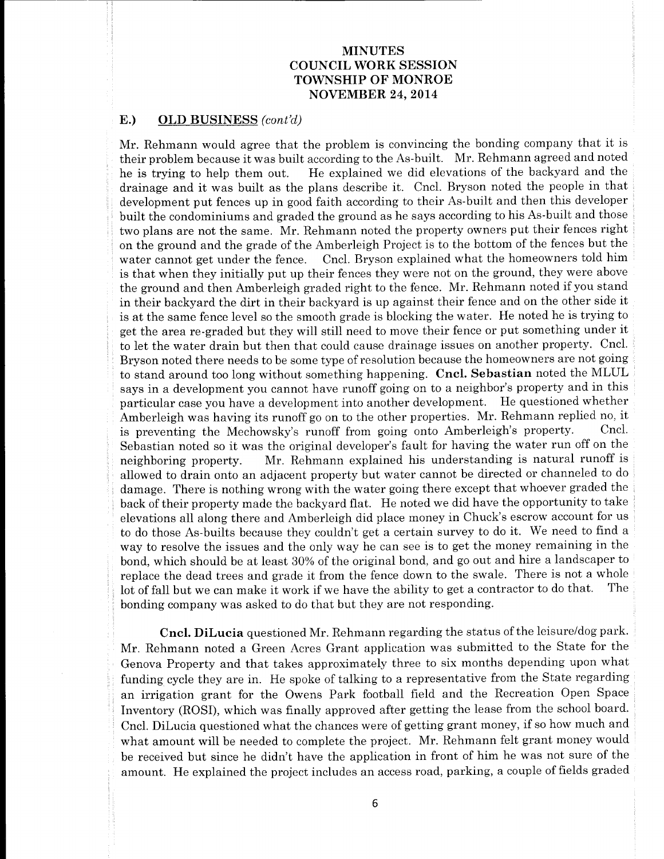### E.) OLD BUSINESS (cont'd)

Mr. Rehmann would agree that the problem is convincing the bonding company that it is their problem because it was built according to the As-built. Mr. Rehmann agreed and noted he is trying to help them out. He explained we did elevations of the backyard and the drainage and it was built as the plans describe it. Cncl. Bryson noted the people in that development put fences up in good faith according to their As-built and then this developer built the condominiums and graded the ground as he says according to his As-built and those two plans are not the same. Mr. Rehmann noted the property owners put their fences right on the ground and the grade of the Amberleigh Project is to the bottom of the fences but the water cannot get under the fence. Cncl. Bryson explained what the homeowners told him is that when they initially put up their fences they were not on the ground, they were above the ground and then Amberleigh graded right to the fence. Mr. Rehmann noted if you stand in their backyard the dirt in their backyard is up against their fence and on the other side it is at the same fence level so the smooth grade is blocking the water. He noted he is trying to get the area re- graded but they will still need to move their fence or put something under it to let the water drain but then that could cause drainage issues on another property. Cncl. Bryson noted there needs to be some type of resolution because the homeowners are not going to stand around too long without something happening. Cncl. Sebastian noted the MLUL says in a development you cannot have runoff going on to <sup>a</sup> neighbor's property and in this particular case you have a development into another development. He questioned whether Amberleigh was having its runoff go on to the other properties. Mr. Rehmann replied no, it<br>is preventing the Mechowsky's runoff from going onto Amberleigh's property. Cncl. is preventing the Mechowsky's runoff from going onto Amberleigh's property. Sebastian noted so it was the original developer's fault for having the water run off on the neighboring property. Mr. Rehmann explained his understanding is natural runoff is allowed to drain onto an adjacent property but water cannot be directed or channeled to do damage. There is nothing wrong with the water going there except that whoever graded the back of their property made the backyard flat. He noted we did have the opportunity to take elevations all along there and Amberleigh did place money in Chuck's escrow account for us to do those As-builts because they couldn't get <sup>a</sup> certain survey to do it. We need to find <sup>a</sup> way to resolve the issues and the only way he can see is to get the money remaining in the bond, which should be at least 30% of the original bond, and go out and hire a landscaper to replace the dead trees and grade it from the fence down to the swale. There is not <sup>a</sup> whole lot of fall but we can make it work if we have the ability to get <sup>a</sup> contractor to do that. The bonding company was asked to do that but they are not responding.

Cncl. DiLucia questioned Mr. Rehmann regarding the status of the leisure/dog park. Mr. Rehmann noted a Green Acres Grant application was submitted to the State for the Genova Property and that takes approximately three to six months depending upon what funding cycle they are in. He spoke of talking to <sup>a</sup> representative from the State regarding an irrigation grant for the Owens Park football field and the Recreation Open Space Inventory (ROSI), which was finally approved after getting the lease from the school board. Cncl. DiLucia questioned what the chances were of getting grant money, if so how much and what amount will be needed to complete the project. Mr. Rehmann felt grant money would be received but since he didn't have the application in front of him he was not sure of the amount. He explained the project includes an access road, parking, a couple of fields graded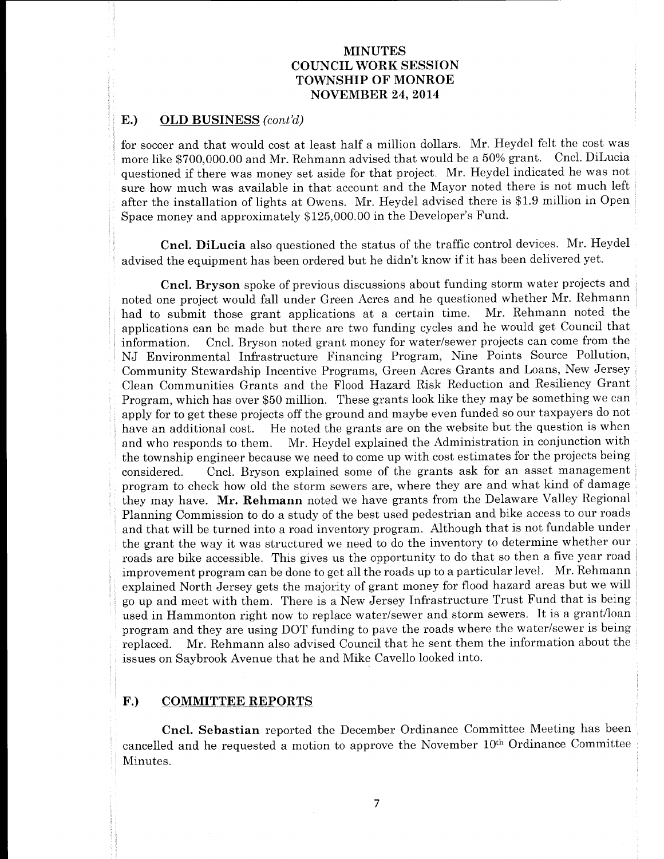### E.) OLD BUSINESS (cont'd)

for soccer and that would cost at least half <sup>a</sup> million dollars. Mr. Heydel felt the cost was more like \$700,000. <sup>00</sup> and Mr. Rehmann advised that would be <sup>a</sup> 50% grant. Cncl. DiLucia questioned if there was money set aside for that project. Mr. Heydel indicated he was not sure how much was available in that account and the Mayor noted there is not much left after the installation of lights at Owens. Mr. Heydel advised there is \$1.9 million in Open Space money and approximately \$125,000.00 in the Developer's Fund.

Cncl. DiLucia also questioned the status of the traffic control devices. Mr. Heydel advised the equipment has been ordered but he didn't know if it has been delivered yet.

Cncl. Bryson spoke of previous discussions about funding storm water projects and noted one project would fall under Green Acres and he questioned whether Mr. Rehmann had to submit those grant applications at <sup>a</sup> certain time. Mr. Rehmann noted the applications can be made but there are two funding cycles and he would get Council that information. Cncl. Bryson noted grant money for water/sewer projects can come from the NJ Environmental Infrastructure Financing Program, Nine Points Source Pollution, Community Stewardship Incentive Programs, Green Acres Grants and Loans, New Jersey Clean Communities Grants and the Flood Hazard Risk Reduction and Resiliency Grant Program, which has over \$50 million. These grants look like they may be something we can apply for to get these projects off the ground and maybe even funded so our taxpayers do not have an additional cost. He noted the grants are on the website but the question is when and who responds to them. Mr. Heydel explained the Administration in conjunction with the township engineer because we need to come up with cost estimates for the projects being considered. Cncl. Bryson explained some of the grants ask for an asset management program to check how old the storm sewers are, where they are and what kind of damage they may have. Mr. Rehmann noted we have grants from the Delaware Valley Regional Planning Commission to do a study of the best used pedestrian and bike access to our roads and that will be turned into <sup>a</sup> road inventory program. Although that is not fundable under the grant the way it was structured we need to do the inventory to determine whether our roads are bike accessible. This gives us the opportunity to do that so then a five year road improvement program can be done to get all the roads up to <sup>a</sup> particular level. Mr. Rehmann explained North Jersey gets the majority of grant money for flood hazard areas but we will go up and meet with them. There is <sup>a</sup> New Jersey Infrastructure Trust Fund that is being used in Hammonton right now to replace water/sewer and storm sewers. It is <sup>a</sup> grant/loan program and they are using DOT funding to pave the roads where the water/sewer is being replaced. Mr. Rehmann also advised Council that he sent them the information about the issues on Saybrook Avenue that he and Mike Cavello looked into.

### F.) COMMITTEE REPORTS

Cncl. Sebastian reported the December Ordinance Committee Meeting has been cancelled and he requested a motion to approve the November 10th Ordinance Committee Minutes.